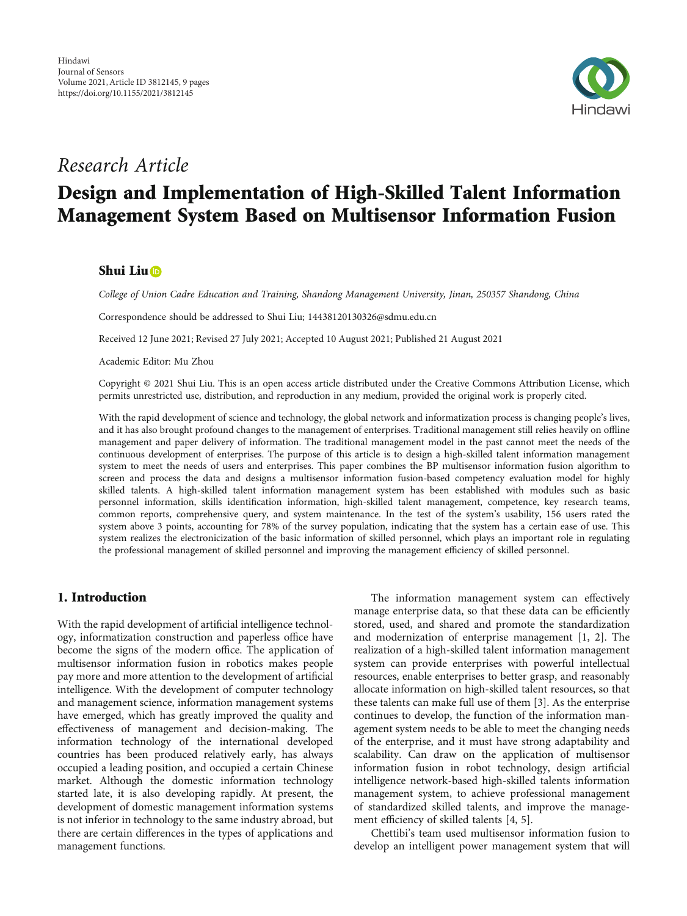

## Research Article

# Design and Implementation of High-Skilled Talent Information Management System Based on Multisensor Information Fusion

## Shui Liu

College of Union Cadre Education and Training, Shandong Management University, Jinan, 250357 Shandong, China

Correspondence should be addressed to Shui Liu; 14438120130326@sdmu.edu.cn

Received 12 June 2021; Revised 27 July 2021; Accepted 10 August 2021; Published 21 August 2021

Academic Editor: Mu Zhou

Copyright © 2021 Shui Liu. This is an open access article distributed under the [Creative Commons Attribution License](https://creativecommons.org/licenses/by/4.0/), which permits unrestricted use, distribution, and reproduction in any medium, provided the original work is properly cited.

With the rapid development of science and technology, the global network and informatization process is changing people's lives, and it has also brought profound changes to the management of enterprises. Traditional management still relies heavily on offline management and paper delivery of information. The traditional management model in the past cannot meet the needs of the continuous development of enterprises. The purpose of this article is to design a high-skilled talent information management system to meet the needs of users and enterprises. This paper combines the BP multisensor information fusion algorithm to screen and process the data and designs a multisensor information fusion-based competency evaluation model for highly skilled talents. A high-skilled talent information management system has been established with modules such as basic personnel information, skills identification information, high-skilled talent management, competence, key research teams, common reports, comprehensive query, and system maintenance. In the test of the system's usability, 156 users rated the system above 3 points, accounting for 78% of the survey population, indicating that the system has a certain ease of use. This system realizes the electronicization of the basic information of skilled personnel, which plays an important role in regulating the professional management of skilled personnel and improving the management efficiency of skilled personnel.

## 1. Introduction

With the rapid development of artificial intelligence technology, informatization construction and paperless office have become the signs of the modern office. The application of multisensor information fusion in robotics makes people pay more and more attention to the development of artificial intelligence. With the development of computer technology and management science, information management systems have emerged, which has greatly improved the quality and effectiveness of management and decision-making. The information technology of the international developed countries has been produced relatively early, has always occupied a leading position, and occupied a certain Chinese market. Although the domestic information technology started late, it is also developing rapidly. At present, the development of domestic management information systems is not inferior in technology to the same industry abroad, but there are certain differences in the types of applications and management functions.

The information management system can effectively manage enterprise data, so that these data can be efficiently stored, used, and shared and promote the standardization and modernization of enterprise management [\[1, 2](#page-8-0)]. The realization of a high-skilled talent information management system can provide enterprises with powerful intellectual resources, enable enterprises to better grasp, and reasonably allocate information on high-skilled talent resources, so that these talents can make full use of them [\[3](#page-8-0)]. As the enterprise continues to develop, the function of the information management system needs to be able to meet the changing needs of the enterprise, and it must have strong adaptability and scalability. Can draw on the application of multisensor information fusion in robot technology, design artificial intelligence network-based high-skilled talents information management system, to achieve professional management of standardized skilled talents, and improve the management efficiency of skilled talents [\[4, 5\]](#page-8-0).

Chettibi's team used multisensor information fusion to develop an intelligent power management system that will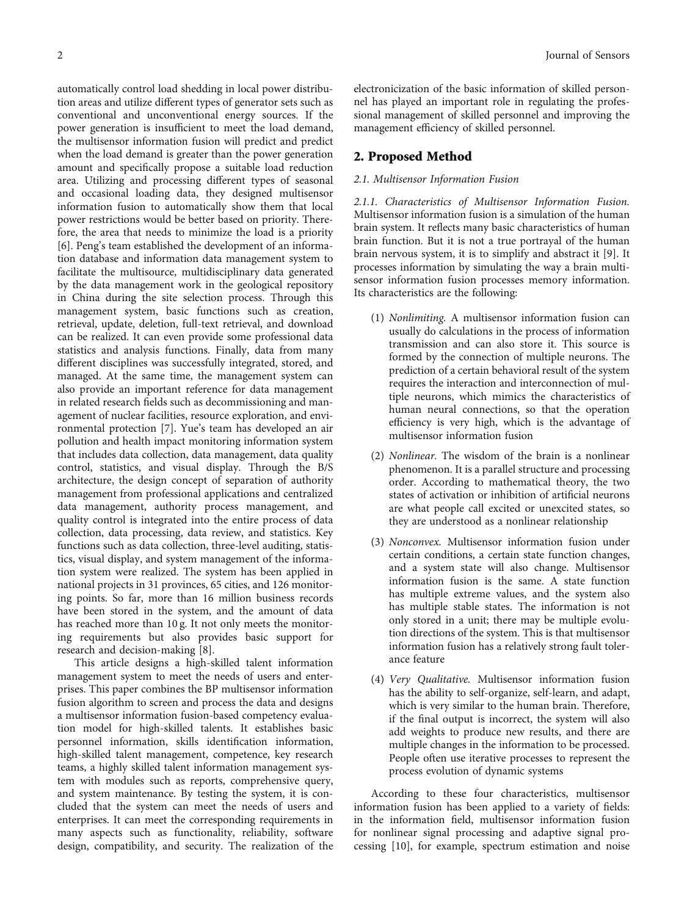automatically control load shedding in local power distribution areas and utilize different types of generator sets such as conventional and unconventional energy sources. If the power generation is insufficient to meet the load demand, the multisensor information fusion will predict and predict when the load demand is greater than the power generation amount and specifically propose a suitable load reduction area. Utilizing and processing different types of seasonal and occasional loading data, they designed multisensor information fusion to automatically show them that local power restrictions would be better based on priority. Therefore, the area that needs to minimize the load is a priority [\[6](#page-8-0)]. Peng's team established the development of an information database and information data management system to facilitate the multisource, multidisciplinary data generated by the data management work in the geological repository in China during the site selection process. Through this management system, basic functions such as creation, retrieval, update, deletion, full-text retrieval, and download can be realized. It can even provide some professional data statistics and analysis functions. Finally, data from many different disciplines was successfully integrated, stored, and managed. At the same time, the management system can also provide an important reference for data management in related research fields such as decommissioning and management of nuclear facilities, resource exploration, and environmental protection [[7](#page-8-0)]. Yue's team has developed an air pollution and health impact monitoring information system that includes data collection, data management, data quality control, statistics, and visual display. Through the B/S architecture, the design concept of separation of authority management from professional applications and centralized data management, authority process management, and quality control is integrated into the entire process of data collection, data processing, data review, and statistics. Key functions such as data collection, three-level auditing, statistics, visual display, and system management of the information system were realized. The system has been applied in national projects in 31 provinces, 65 cities, and 126 monitoring points. So far, more than 16 million business records have been stored in the system, and the amount of data has reached more than 10 g. It not only meets the monitoring requirements but also provides basic support for research and decision-making [\[8\]](#page-8-0).

This article designs a high-skilled talent information management system to meet the needs of users and enterprises. This paper combines the BP multisensor information fusion algorithm to screen and process the data and designs a multisensor information fusion-based competency evaluation model for high-skilled talents. It establishes basic personnel information, skills identification information, high-skilled talent management, competence, key research teams, a highly skilled talent information management system with modules such as reports, comprehensive query, and system maintenance. By testing the system, it is concluded that the system can meet the needs of users and enterprises. It can meet the corresponding requirements in many aspects such as functionality, reliability, software design, compatibility, and security. The realization of the

electronicization of the basic information of skilled personnel has played an important role in regulating the professional management of skilled personnel and improving the management efficiency of skilled personnel.

#### 2. Proposed Method

#### 2.1. Multisensor Information Fusion

2.1.1. Characteristics of Multisensor Information Fusion. Multisensor information fusion is a simulation of the human brain system. It reflects many basic characteristics of human brain function. But it is not a true portrayal of the human brain nervous system, it is to simplify and abstract it [\[9\]](#page-8-0). It processes information by simulating the way a brain multisensor information fusion processes memory information. Its characteristics are the following:

- (1) Nonlimiting. A multisensor information fusion can usually do calculations in the process of information transmission and can also store it. This source is formed by the connection of multiple neurons. The prediction of a certain behavioral result of the system requires the interaction and interconnection of multiple neurons, which mimics the characteristics of human neural connections, so that the operation efficiency is very high, which is the advantage of multisensor information fusion
- (2) Nonlinear. The wisdom of the brain is a nonlinear phenomenon. It is a parallel structure and processing order. According to mathematical theory, the two states of activation or inhibition of artificial neurons are what people call excited or unexcited states, so they are understood as a nonlinear relationship
- (3) Nonconvex. Multisensor information fusion under certain conditions, a certain state function changes, and a system state will also change. Multisensor information fusion is the same. A state function has multiple extreme values, and the system also has multiple stable states. The information is not only stored in a unit; there may be multiple evolution directions of the system. This is that multisensor information fusion has a relatively strong fault tolerance feature
- (4) Very Qualitative. Multisensor information fusion has the ability to self-organize, self-learn, and adapt, which is very similar to the human brain. Therefore, if the final output is incorrect, the system will also add weights to produce new results, and there are multiple changes in the information to be processed. People often use iterative processes to represent the process evolution of dynamic systems

According to these four characteristics, multisensor information fusion has been applied to a variety of fields: in the information field, multisensor information fusion for nonlinear signal processing and adaptive signal processing [\[10\]](#page-8-0), for example, spectrum estimation and noise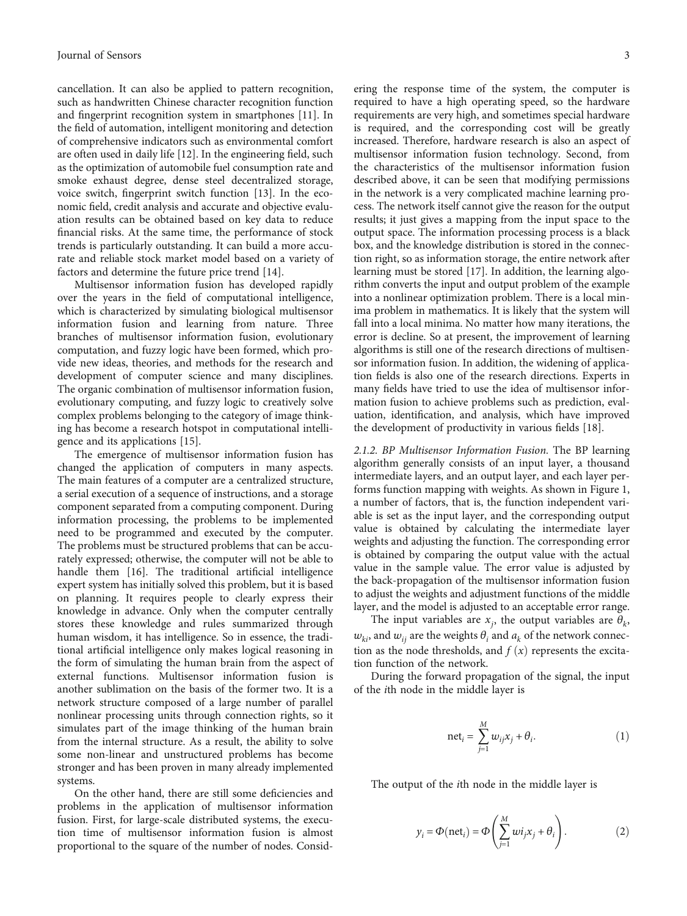cancellation. It can also be applied to pattern recognition, such as handwritten Chinese character recognition function and fingerprint recognition system in smartphones [[11](#page-8-0)]. In the field of automation, intelligent monitoring and detection of comprehensive indicators such as environmental comfort are often used in daily life [\[12\]](#page-8-0). In the engineering field, such as the optimization of automobile fuel consumption rate and smoke exhaust degree, dense steel decentralized storage, voice switch, fingerprint switch function [\[13\]](#page-8-0). In the economic field, credit analysis and accurate and objective evaluation results can be obtained based on key data to reduce financial risks. At the same time, the performance of stock trends is particularly outstanding. It can build a more accurate and reliable stock market model based on a variety of factors and determine the future price trend [[14](#page-8-0)].

Multisensor information fusion has developed rapidly over the years in the field of computational intelligence, which is characterized by simulating biological multisensor information fusion and learning from nature. Three branches of multisensor information fusion, evolutionary computation, and fuzzy logic have been formed, which provide new ideas, theories, and methods for the research and development of computer science and many disciplines. The organic combination of multisensor information fusion, evolutionary computing, and fuzzy logic to creatively solve complex problems belonging to the category of image thinking has become a research hotspot in computational intelligence and its applications [\[15](#page-8-0)].

The emergence of multisensor information fusion has changed the application of computers in many aspects. The main features of a computer are a centralized structure, a serial execution of a sequence of instructions, and a storage component separated from a computing component. During information processing, the problems to be implemented need to be programmed and executed by the computer. The problems must be structured problems that can be accurately expressed; otherwise, the computer will not be able to handle them [\[16\]](#page-8-0). The traditional artificial intelligence expert system has initially solved this problem, but it is based on planning. It requires people to clearly express their knowledge in advance. Only when the computer centrally stores these knowledge and rules summarized through human wisdom, it has intelligence. So in essence, the traditional artificial intelligence only makes logical reasoning in the form of simulating the human brain from the aspect of external functions. Multisensor information fusion is another sublimation on the basis of the former two. It is a network structure composed of a large number of parallel nonlinear processing units through connection rights, so it simulates part of the image thinking of the human brain from the internal structure. As a result, the ability to solve some non-linear and unstructured problems has become stronger and has been proven in many already implemented systems.

On the other hand, there are still some deficiencies and problems in the application of multisensor information fusion. First, for large-scale distributed systems, the execution time of multisensor information fusion is almost proportional to the square of the number of nodes. Consid-

ering the response time of the system, the computer is required to have a high operating speed, so the hardware requirements are very high, and sometimes special hardware is required, and the corresponding cost will be greatly increased. Therefore, hardware research is also an aspect of multisensor information fusion technology. Second, from the characteristics of the multisensor information fusion described above, it can be seen that modifying permissions in the network is a very complicated machine learning process. The network itself cannot give the reason for the output results; it just gives a mapping from the input space to the output space. The information processing process is a black box, and the knowledge distribution is stored in the connection right, so as information storage, the entire network after learning must be stored [[17](#page-8-0)]. In addition, the learning algorithm converts the input and output problem of the example into a nonlinear optimization problem. There is a local minima problem in mathematics. It is likely that the system will fall into a local minima. No matter how many iterations, the error is decline. So at present, the improvement of learning algorithms is still one of the research directions of multisensor information fusion. In addition, the widening of application fields is also one of the research directions. Experts in many fields have tried to use the idea of multisensor information fusion to achieve problems such as prediction, evaluation, identification, and analysis, which have improved the development of productivity in various fields [\[18\]](#page-8-0).

2.1.2. BP Multisensor Information Fusion. The BP learning algorithm generally consists of an input layer, a thousand intermediate layers, and an output layer, and each layer performs function mapping with weights. As shown in Figure [1,](#page-3-0) a number of factors, that is, the function independent variable is set as the input layer, and the corresponding output value is obtained by calculating the intermediate layer weights and adjusting the function. The corresponding error is obtained by comparing the output value with the actual value in the sample value. The error value is adjusted by the back-propagation of the multisensor information fusion to adjust the weights and adjustment functions of the middle layer, and the model is adjusted to an acceptable error range.

The input variables are  $x_j$ , the output variables are  $\theta_k$ ,  $w_{ki}$ , and  $w_{ij}$  are the weights  $\theta_i$  and  $a_k$  of the network connection as the node thresholds, and  $f(x)$  represents the excitation function of the network.

During the forward propagation of the signal, the input of the *i*th node in the middle layer is

$$
net_i = \sum_{j=1}^{M} w_{ij} x_j + \theta_i.
$$
 (1)

The output of the *i*th node in the middle layer is

$$
y_i = \Phi(\text{net}_i) = \Phi\left(\sum_{j=1}^{M} wi_j x_j + \theta_i\right). \tag{2}
$$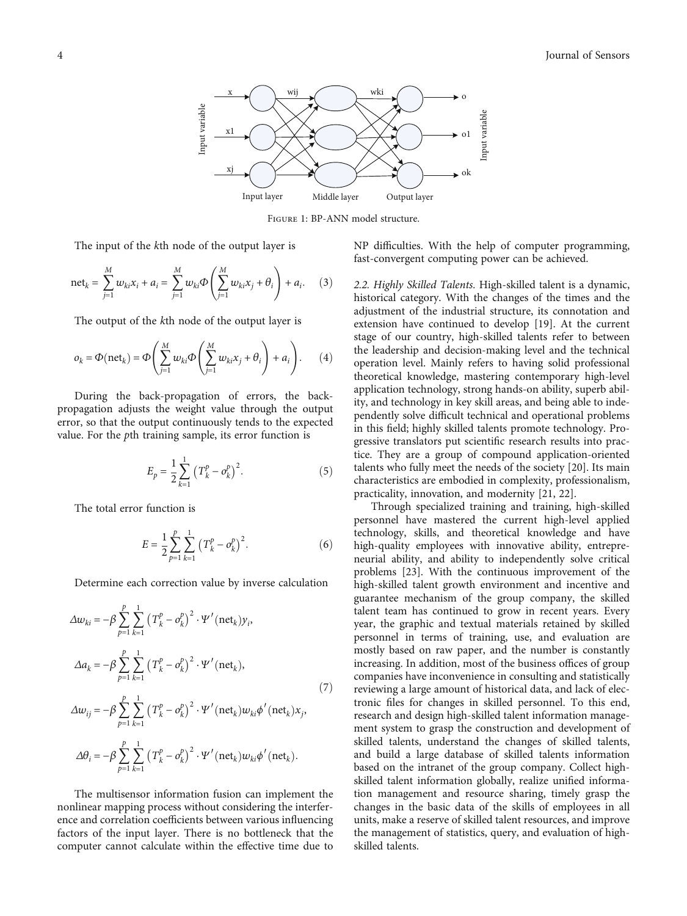<span id="page-3-0"></span>

Figure 1: BP-ANN model structure.

The input of the *k*th node of the output layer is

net<sub>k</sub> = 
$$
\sum_{j=1}^{M} w_{ki} x_i + a_i = \sum_{j=1}^{M} w_{ki} \Phi \left( \sum_{j=1}^{M} w_{ki} x_j + \theta_i \right) + a_i.
$$
 (3)

The output of the *k*th node of the output layer is

$$
o_k = \Phi(\text{net}_k) = \Phi\left(\sum_{j=1}^M w_{ki} \Phi\left(\sum_{j=1}^M w_{ki} x_j + \theta_i\right) + a_i\right). \tag{4}
$$

During the back-propagation of errors, the backpropagation adjusts the weight value through the output error, so that the output continuously tends to the expected value. For the *p*th training sample, its error function is

$$
E_p = \frac{1}{2} \sum_{k=1}^{1} (T_k^p - o_k^p)^2.
$$
 (5)

The total error function is

$$
E = \frac{1}{2} \sum_{p=1}^{p} \sum_{k=1}^{1} (T_k^p - o_k^p)^2.
$$
 (6)

Determine each correction value by inverse calculation

$$
\Delta w_{ki} = -\beta \sum_{p=1}^{p} \sum_{k=1}^{1} (T_k^p - o_k^p)^2 \cdot \Psi'(\text{net}_k) y_i,
$$
  
\n
$$
\Delta a_k = -\beta \sum_{p=1}^{p} \sum_{k=1}^{1} (T_k^p - o_k^p)^2 \cdot \Psi'(\text{net}_k),
$$
  
\n
$$
\Delta w_{ij} = -\beta \sum_{p=1}^{p} \sum_{k=1}^{1} (T_k^p - o_k^p)^2 \cdot \Psi'(\text{net}_k) w_{ki} \phi'(\text{net}_k) x_j,
$$
  
\n
$$
\Delta \theta_i = -\beta \sum_{p=1}^{p} \sum_{k=1}^{1} (T_k^p - o_k^p)^2 \cdot \Psi'(\text{net}_k) w_{ki} \phi'(\text{net}_k).
$$
\n(7)

The multisensor information fusion can implement the nonlinear mapping process without considering the interference and correlation coefficients between various influencing factors of the input layer. There is no bottleneck that the computer cannot calculate within the effective time due to

NP difficulties. With the help of computer programming, fast-convergent computing power can be achieved.

2.2. Highly Skilled Talents. High-skilled talent is a dynamic, historical category. With the changes of the times and the adjustment of the industrial structure, its connotation and extension have continued to develop [[19\]](#page-8-0). At the current stage of our country, high-skilled talents refer to between the leadership and decision-making level and the technical operation level. Mainly refers to having solid professional theoretical knowledge, mastering contemporary high-level application technology, strong hands-on ability, superb ability, and technology in key skill areas, and being able to independently solve difficult technical and operational problems in this field; highly skilled talents promote technology. Progressive translators put scientific research results into practice. They are a group of compound application-oriented talents who fully meet the needs of the society [\[20\]](#page-8-0). Its main characteristics are embodied in complexity, professionalism, practicality, innovation, and modernity [\[21](#page-8-0), [22\]](#page-8-0).

Through specialized training and training, high-skilled personnel have mastered the current high-level applied technology, skills, and theoretical knowledge and have high-quality employees with innovative ability, entrepreneurial ability, and ability to independently solve critical problems [\[23](#page-8-0)]. With the continuous improvement of the high-skilled talent growth environment and incentive and guarantee mechanism of the group company, the skilled talent team has continued to grow in recent years. Every year, the graphic and textual materials retained by skilled personnel in terms of training, use, and evaluation are mostly based on raw paper, and the number is constantly increasing. In addition, most of the business offices of group companies have inconvenience in consulting and statistically reviewing a large amount of historical data, and lack of electronic files for changes in skilled personnel. To this end, research and design high-skilled talent information management system to grasp the construction and development of skilled talents, understand the changes of skilled talents, and build a large database of skilled talents information based on the intranet of the group company. Collect highskilled talent information globally, realize unified information management and resource sharing, timely grasp the changes in the basic data of the skills of employees in all units, make a reserve of skilled talent resources, and improve the management of statistics, query, and evaluation of highskilled talents.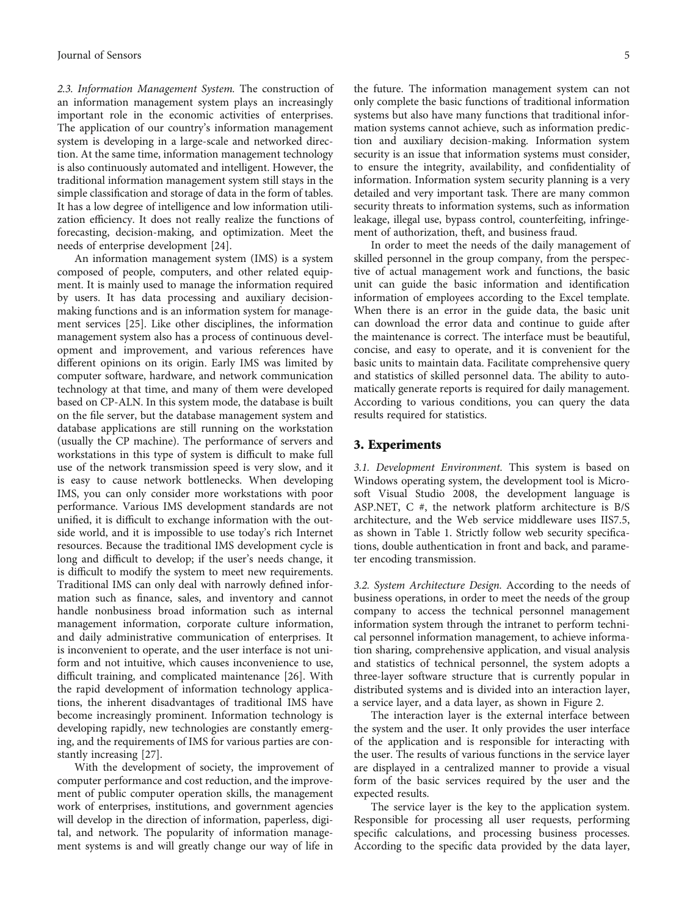2.3. Information Management System. The construction of an information management system plays an increasingly important role in the economic activities of enterprises. The application of our country's information management system is developing in a large-scale and networked direction. At the same time, information management technology is also continuously automated and intelligent. However, the traditional information management system still stays in the simple classification and storage of data in the form of tables. It has a low degree of intelligence and low information utilization efficiency. It does not really realize the functions of forecasting, decision-making, and optimization. Meet the needs of enterprise development [\[24\]](#page-8-0).

An information management system (IMS) is a system composed of people, computers, and other related equipment. It is mainly used to manage the information required by users. It has data processing and auxiliary decisionmaking functions and is an information system for management services [[25](#page-8-0)]. Like other disciplines, the information management system also has a process of continuous development and improvement, and various references have different opinions on its origin. Early IMS was limited by computer software, hardware, and network communication technology at that time, and many of them were developed based on CP-ALN. In this system mode, the database is built on the file server, but the database management system and database applications are still running on the workstation (usually the CP machine). The performance of servers and workstations in this type of system is difficult to make full use of the network transmission speed is very slow, and it is easy to cause network bottlenecks. When developing IMS, you can only consider more workstations with poor performance. Various IMS development standards are not unified, it is difficult to exchange information with the outside world, and it is impossible to use today's rich Internet resources. Because the traditional IMS development cycle is long and difficult to develop; if the user's needs change, it is difficult to modify the system to meet new requirements. Traditional IMS can only deal with narrowly defined information such as finance, sales, and inventory and cannot handle nonbusiness broad information such as internal management information, corporate culture information, and daily administrative communication of enterprises. It is inconvenient to operate, and the user interface is not uniform and not intuitive, which causes inconvenience to use, difficult training, and complicated maintenance [\[26](#page-8-0)]. With the rapid development of information technology applications, the inherent disadvantages of traditional IMS have become increasingly prominent. Information technology is developing rapidly, new technologies are constantly emerging, and the requirements of IMS for various parties are constantly increasing [[27](#page-8-0)].

With the development of society, the improvement of computer performance and cost reduction, and the improvement of public computer operation skills, the management work of enterprises, institutions, and government agencies will develop in the direction of information, paperless, digital, and network. The popularity of information management systems is and will greatly change our way of life in

the future. The information management system can not only complete the basic functions of traditional information systems but also have many functions that traditional information systems cannot achieve, such as information prediction and auxiliary decision-making. Information system security is an issue that information systems must consider, to ensure the integrity, availability, and confidentiality of information. Information system security planning is a very detailed and very important task. There are many common security threats to information systems, such as information leakage, illegal use, bypass control, counterfeiting, infringement of authorization, theft, and business fraud.

In order to meet the needs of the daily management of skilled personnel in the group company, from the perspective of actual management work and functions, the basic unit can guide the basic information and identification information of employees according to the Excel template. When there is an error in the guide data, the basic unit can download the error data and continue to guide after the maintenance is correct. The interface must be beautiful, concise, and easy to operate, and it is convenient for the basic units to maintain data. Facilitate comprehensive query and statistics of skilled personnel data. The ability to automatically generate reports is required for daily management. According to various conditions, you can query the data results required for statistics.

#### 3. Experiments

3.1. Development Environment. This system is based on Windows operating system, the development tool is Microsoft Visual Studio 2008, the development language is ASP.NET, C #, the network platform architecture is B/S architecture, and the Web service middleware uses IIS7.5, as shown in Table [1.](#page-5-0) Strictly follow web security specifications, double authentication in front and back, and parameter encoding transmission.

3.2. System Architecture Design. According to the needs of business operations, in order to meet the needs of the group company to access the technical personnel management information system through the intranet to perform technical personnel information management, to achieve information sharing, comprehensive application, and visual analysis and statistics of technical personnel, the system adopts a three-layer software structure that is currently popular in distributed systems and is divided into an interaction layer, a service layer, and a data layer, as shown in Figure [2](#page-5-0).

The interaction layer is the external interface between the system and the user. It only provides the user interface of the application and is responsible for interacting with the user. The results of various functions in the service layer are displayed in a centralized manner to provide a visual form of the basic services required by the user and the expected results.

The service layer is the key to the application system. Responsible for processing all user requests, performing specific calculations, and processing business processes. According to the specific data provided by the data layer,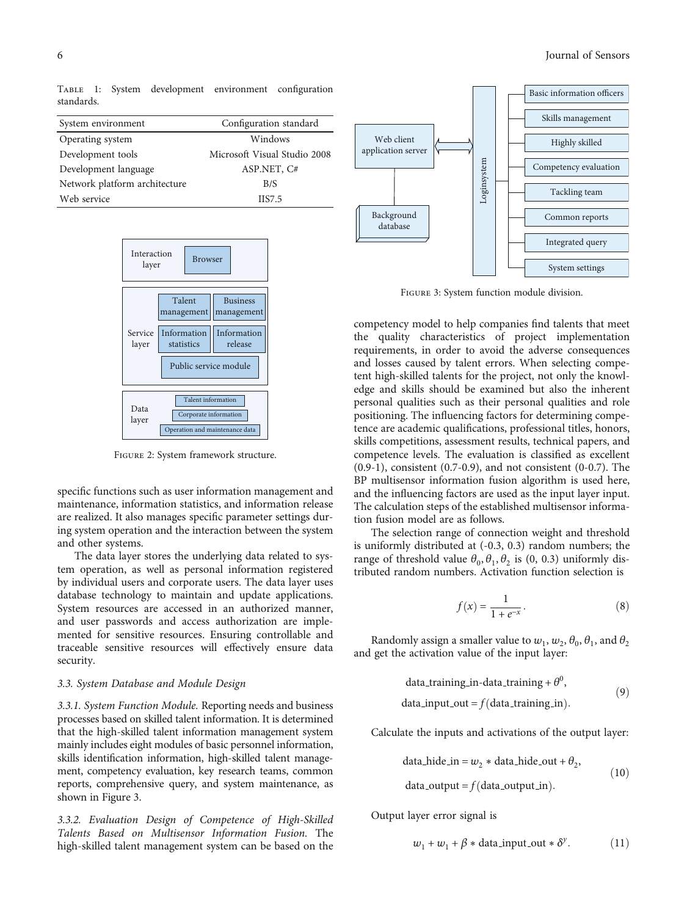<span id="page-5-0"></span>Table 1: System development environment configuration standards.

| System environment            | Configuration standard       |  |
|-------------------------------|------------------------------|--|
| Operating system              | Windows                      |  |
| Development tools             | Microsoft Visual Studio 2008 |  |
| Development language          | ASP.NET, C#                  |  |
| Network platform architecture | B/S                          |  |
| Web service                   | <b>IIS7.5</b>                |  |



Figure 2: System framework structure.

specific functions such as user information management and maintenance, information statistics, and information release are realized. It also manages specific parameter settings during system operation and the interaction between the system and other systems.

The data layer stores the underlying data related to system operation, as well as personal information registered by individual users and corporate users. The data layer uses database technology to maintain and update applications. System resources are accessed in an authorized manner, and user passwords and access authorization are implemented for sensitive resources. Ensuring controllable and traceable sensitive resources will effectively ensure data security.

#### 3.3. System Database and Module Design

3.3.1. System Function Module. Reporting needs and business processes based on skilled talent information. It is determined that the high-skilled talent information management system mainly includes eight modules of basic personnel information, skills identification information, high-skilled talent management, competency evaluation, key research teams, common reports, comprehensive query, and system maintenance, as shown in Figure 3.

3.3.2. Evaluation Design of Competence of High-Skilled Talents Based on Multisensor Information Fusion. The high-skilled talent management system can be based on the



Figure 3: System function module division.

competency model to help companies find talents that meet the quality characteristics of project implementation requirements, in order to avoid the adverse consequences and losses caused by talent errors. When selecting competent high-skilled talents for the project, not only the knowledge and skills should be examined but also the inherent personal qualities such as their personal qualities and role positioning. The influencing factors for determining competence are academic qualifications, professional titles, honors, skills competitions, assessment results, technical papers, and competence levels. The evaluation is classified as excellent (0.9-1), consistent (0.7-0.9), and not consistent (0-0.7). The BP multisensor information fusion algorithm is used here, and the influencing factors are used as the input layer input. The calculation steps of the established multisensor information fusion model are as follows.

The selection range of connection weight and threshold is uniformly distributed at (-0.3, 0.3) random numbers; the range of threshold value  $\theta_0$ ,  $\theta_1$ ,  $\theta_2$  is (0, 0.3) uniformly distributed random numbers. Activation function selection is

$$
f(x) = \frac{1}{1 + e^{-x}}.\tag{8}
$$

Randomly assign a smaller value to  $w_1$ ,  $w_2$ ,  $\theta_0$ ,  $\theta_1$ , and  $\theta_2$ and get the activation value of the input layer:

data\_training\_in-data\_training + 
$$
\theta^0
$$
,  
data=input-out =  $f(\text{data_training_in})$ . (9)

Calculate the inputs and activations of the output layer:

data\\_hide\_in = 
$$
w_2 * data\_hide\_out + \theta_2,
$$
  
data\_output = f(data\_output\_in). (10)

Output layer error signal is

$$
w_1 + w_1 + \beta * \text{data-input\_out} * \delta^y. \tag{11}
$$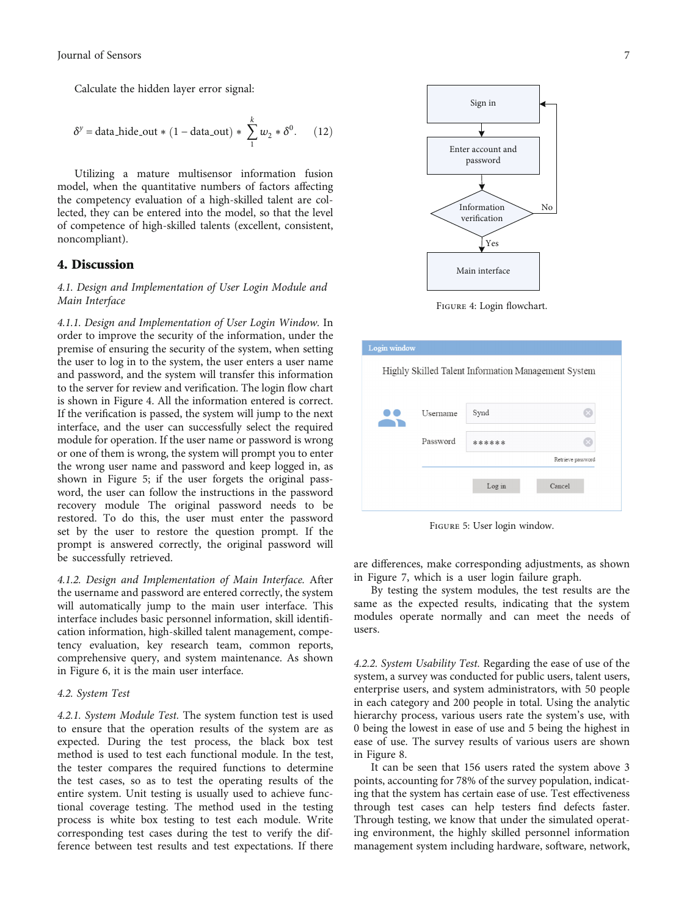Calculate the hidden layer error signal:

$$
\delta^y = \text{data\_hide\_out} * (1 - \text{data\_out}) * \sum_{1}^{k} w_2 * \delta^0. \tag{12}
$$

Utilizing a mature multisensor information fusion model, when the quantitative numbers of factors affecting the competency evaluation of a high-skilled talent are collected, they can be entered into the model, so that the level of competence of high-skilled talents (excellent, consistent, noncompliant).

#### 4. Discussion

#### 4.1. Design and Implementation of User Login Module and Main Interface

4.1.1. Design and Implementation of User Login Window. In order to improve the security of the information, under the premise of ensuring the security of the system, when setting the user to log in to the system, the user enters a user name and password, and the system will transfer this information to the server for review and verification. The login flow chart is shown in Figure 4. All the information entered is correct. If the verification is passed, the system will jump to the next interface, and the user can successfully select the required module for operation. If the user name or password is wrong or one of them is wrong, the system will prompt you to enter the wrong user name and password and keep logged in, as shown in Figure 5; if the user forgets the original password, the user can follow the instructions in the password recovery module The original password needs to be restored. To do this, the user must enter the password set by the user to restore the question prompt. If the prompt is answered correctly, the original password will be successfully retrieved.

4.1.2. Design and Implementation of Main Interface. After the username and password are entered correctly, the system will automatically jump to the main user interface. This interface includes basic personnel information, skill identification information, high-skilled talent management, competency evaluation, key research team, common reports, comprehensive query, and system maintenance. As shown in Figure [6](#page-7-0), it is the main user interface.

#### 4.2. System Test

4.2.1. System Module Test. The system function test is used to ensure that the operation results of the system are as expected. During the test process, the black box test method is used to test each functional module. In the test, the tester compares the required functions to determine the test cases, so as to test the operating results of the entire system. Unit testing is usually used to achieve functional coverage testing. The method used in the testing process is white box testing to test each module. Write corresponding test cases during the test to verify the difference between test results and test expectations. If there



Figure 4: Login flowchart.

| Login window                                        |          |        |                   |
|-----------------------------------------------------|----------|--------|-------------------|
| Highly Skilled Talent Information Management System |          |        |                   |
|                                                     | Username | Synd   |                   |
|                                                     | Password | ****** |                   |
|                                                     |          |        | Retrieve password |
|                                                     |          | Log in | Cancel            |
|                                                     |          |        |                   |

Figure 5: User login window.

are differences, make corresponding adjustments, as shown in Figure [7](#page-7-0), which is a user login failure graph.

By testing the system modules, the test results are the same as the expected results, indicating that the system modules operate normally and can meet the needs of users.

4.2.2. System Usability Test. Regarding the ease of use of the system, a survey was conducted for public users, talent users, enterprise users, and system administrators, with 50 people in each category and 200 people in total. Using the analytic hierarchy process, various users rate the system's use, with 0 being the lowest in ease of use and 5 being the highest in ease of use. The survey results of various users are shown in Figure [8](#page-7-0).

It can be seen that 156 users rated the system above 3 points, accounting for 78% of the survey population, indicating that the system has certain ease of use. Test effectiveness through test cases can help testers find defects faster. Through testing, we know that under the simulated operating environment, the highly skilled personnel information management system including hardware, software, network,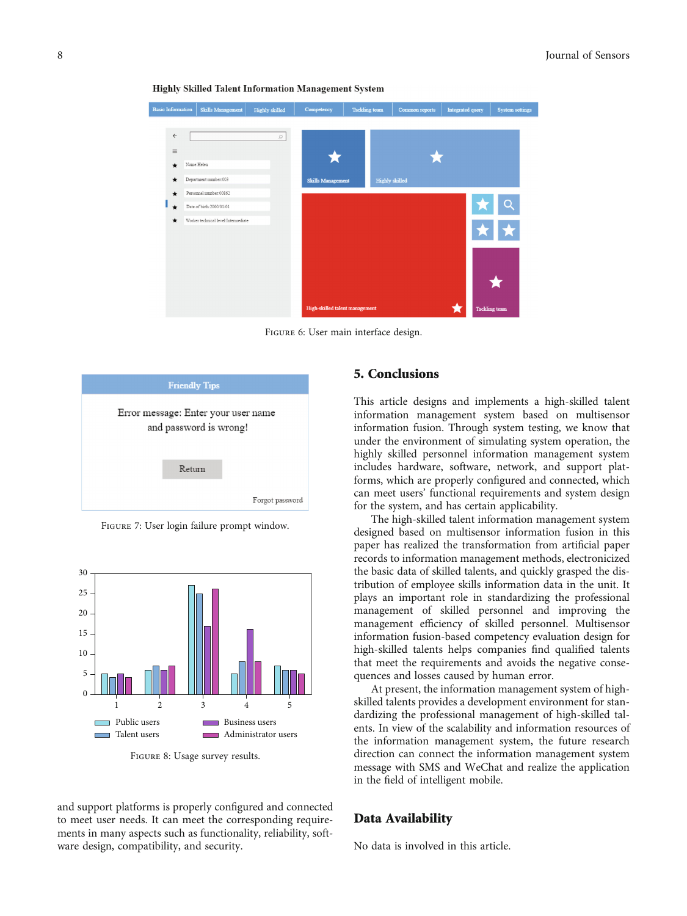

<span id="page-7-0"></span>**Highly Skilled Talent Information Management System** 

FIGURE 6: User main interface design.



Figure 7: User login failure prompt window.



Figure 8: Usage survey results.

and support platforms is properly configured and connected to meet user needs. It can meet the corresponding requirements in many aspects such as functionality, reliability, software design, compatibility, and security.

## 5. Conclusions

This article designs and implements a high-skilled talent information management system based on multisensor information fusion. Through system testing, we know that under the environment of simulating system operation, the highly skilled personnel information management system includes hardware, software, network, and support platforms, which are properly configured and connected, which can meet users' functional requirements and system design for the system, and has certain applicability.

The high-skilled talent information management system designed based on multisensor information fusion in this paper has realized the transformation from artificial paper records to information management methods, electronicized the basic data of skilled talents, and quickly grasped the distribution of employee skills information data in the unit. It plays an important role in standardizing the professional management of skilled personnel and improving the management efficiency of skilled personnel. Multisensor information fusion-based competency evaluation design for high-skilled talents helps companies find qualified talents that meet the requirements and avoids the negative consequences and losses caused by human error.

At present, the information management system of highskilled talents provides a development environment for standardizing the professional management of high-skilled talents. In view of the scalability and information resources of the information management system, the future research direction can connect the information management system message with SMS and WeChat and realize the application in the field of intelligent mobile.

## Data Availability

No data is involved in this article.